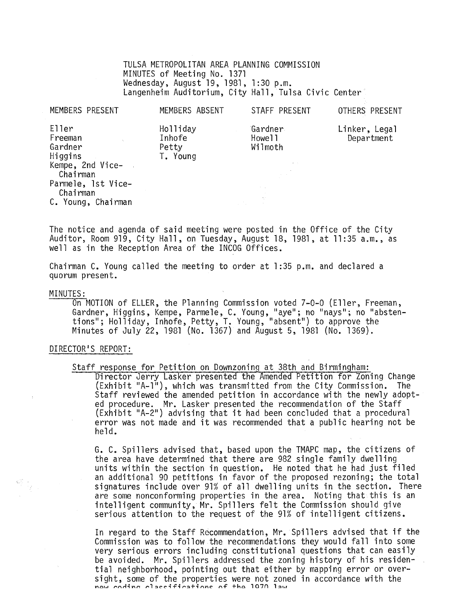TULSA METROPOLITAN AREA PLANNING COMMISSION MINUTES of Meeting No. 1371 Wednesday, August 19,1981, 1:30 p.m. Langenheim Auditorium, City Hall, Tulsa Civic Center

| MEMBERS PRESENT                                                                                                                | MEMBERS ABSENT                          | STAFF PRESENT                                                     | OTHERS PRESENT              |
|--------------------------------------------------------------------------------------------------------------------------------|-----------------------------------------|-------------------------------------------------------------------|-----------------------------|
| Eller<br>Freeman<br>Gardner<br>Higgins<br>Kempe, 2nd Vice-<br>Chairman<br>Parmele, 1st Vice-<br>Chairman<br>C. Young, Chairman | Holliday<br>Inhofe<br>Petty<br>T. Young | Gardner<br>Howe <sub>11</sub><br>Wilmoth<br>$\mathcal{A}=\{0,1\}$ | Linker, Legal<br>Department |

The notice and agenda of said meeting were posted in the Office of the City Auditor, Room 919, City Hall, on Tuesday, August 18, 1981, at 11:35 a.m., as well as in the Reception Area of the INCOG Offices.

Chairman C. Young called the meeting to order at 1 :35 p.m. and declared a quorum present.

#### MINUTES:

On MOTION of ELLER, the Planning Commission voted 7-0-0 (Eller, Freeman, Gardner, Higgins, Kempe, Parmele, C. Young, "aye"; no "nays"; no "abstentions"; Holliday, Inhofe, Petty, T. Young, "absent") to approve the Minutes of July 22, 1981 (No. 1367) and August 5, 1981 (No. 1369).

#### DIRECTOR'S REPORT:

Staff response for Petition on Downzoning at 38th and Birmingham:

Director Jerry Lasker presented the Amended Petition for Zoning Change (Exhibit "A-1"), which was transmitted from the City Commission. The Staff reviewed the amended petition in accordance with the newly adopted procedure. Mr. Lasker presented the recommendation of the Staff (Exhibit "A-2") advising that it had been concluded that a procedural error was not made and it was recommended that a public hearing not be held.

G. C. Spillers advised that, based upon the TMAPC map, the citizens of the area have determined that there are 982 single family dwelling<br>units within the section in question. He noted that he had just filed an additional 90 petitions in favor of the proposed rezoning; the total signatures include over 91% of all dwelling units in the section. There are some nonconforming properties in the area. Noting that this is an intelligent community. Mr. Spillers felt the Commission should give serious attention to the request of the 91% of intelligent citizens.

In regard to the Staff Recommendation, Mr. Spillers advised that if the Commission was to follow the recommendations they would fall into some very serious errors including constitutional questions that can easily be avoided. Mr. Spillers addressed the zoning history of his residential neighborhood, pointing out that either by mapping error or oversight, some of the properties were not zoned in accordance with the now coding classifications of the 1070 law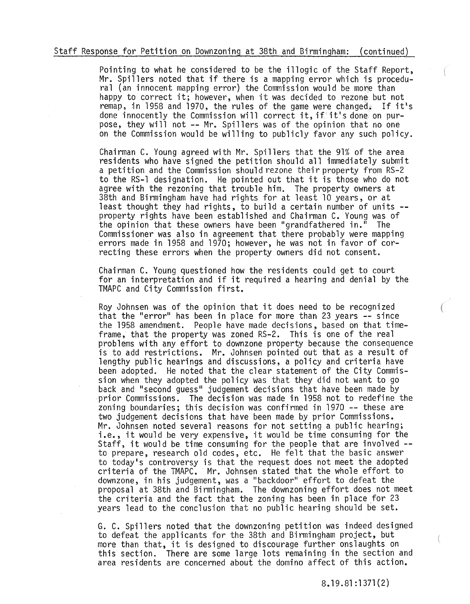#### Staff Response for Petition on Downzoning at\_38th and Birmingham: (continued)

Pointing to what he considered to be the illogic of the Staff Report, Mr. Spillers noted that if there is a mapping error which is procedu-<br>ral (an innocent mapping error) the Commission would be more than happy to correct it; however, when it was decided to rezone but not remap, in 1958 and 1970, the rules of the game were changed. If it's done innocently the Commission will correct it, if it's done on purpose, they will not **--** Mr. Spillers was of the opinion that no one on the Commission would be willing to publicly favor any such policy.

Chairman C. Young agreed with Mr. Spillers that the 91% of the area residents who have signed the petition should all immediately submit a petition and the Commission should rezone their property from RS-2 to the RS-l designation. He pointed out that it is those who do not agree with the rezoning that trouble him. The property owners at 38th and Birmingham have had rights for at least 10 years, or at least thought they had rights, to build a certain number of units **--** property rights have been established and Chairman C. Young was of the opinion that these owners have been "grandfathered in." Commissioner was also in agreement that there probably were mapping errors made in 1958 and 1970; however, he was not in favor of correcting these errors when the property owners did not consent.

Chairman C. Young questioned how the residents could get to court for an interpretation and if it required a hearing and denial by the TMAPC and City Commission first.

Roy Johnsen was of the opinion that it does need to be recognized that the "error" has been in place for more than 23 years -- since the 1958 amendment. People have made decisions, based on that timeframe, that the property was zoned RS-2. This is one of the real problems with any effort to downzone property because the consequence is to add restrictions. Mr. Johnsen pointed out that as a result of lengthy public hearings and discussions, a policy and criteria have been adopted. He noted that the clear statement of the City Commission when they adopted the policy was that they did not want to go back and "second guess" judgement decisions that have been made by prior Commissions. The decision was made in 1958 not to redefine the zoning boundaries; this decision was confirmed in 1970 -- these are two judgement decisions that have been made by prior Commissions. Mr. Johnsen noted several reasons for not setting a public hearing;<br>i.e., it would be very expensive, it would be time consuming for the<br>Staff, it would be time consuming for the people that are involved -to prepare, research old codes, etc. He felt that the basic answer to today's controversy is that the request does not meet the adopted criteria of the TMAPC. Mr. Johnsen stated that the whole effort to downzone, in his judgement, was a "backdoor" effort to defeat the proposal at 38th and Birmingham. The downzoning effort does not meet the criteria and the fact that the zoning has been in place for 23 years lead to the conclusion that no public hearing should be set.

G. C. Spillers noted that the downzoning petition was indeed designed to defeat the applicants for the 38th and Birmingham project, but more than that, it is designed to discourage further onslaughts on this section. There are some large lots remaining in the section and area residents are concerned about the domino affect of this action.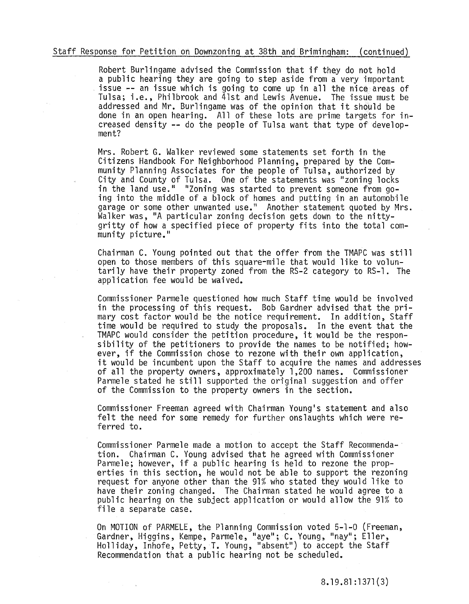## Staff Response for Petition on Downzoning at 38th and Brimingham: (continued)

Robert Burlingame advised the Commission that if they do not hold a public hearing they are going to step aside from a very important issue -- an issue which is going to come up in all the nice areas of Tulsa; i.e., Philbrook and 41st and Lewis Avenue. The issue must be addressed and Mr. Burlingame was of the opinion that it should be done in an open hearing. All of these lots are prime targets for increased density -- do the people of Tulsa want that type of develop- ment?

Mrs. Robert G. Walker reviewed some statements set forth in the Citizens Handbook For Neighborhood Planning, prepared by the Community Planning Associates for the people of Tulsa, authorized by City and County of Tulsa. One of the statements was "zoning locks in the land use." "Zoning was started to prevent someone from go-<br>ing into the middle of a block of homes and putting in an automobile garage or some other unwanted use." Another statement quoted by Mrs. Walker was, "A particular zoning decision gets down to the nittygritty of how a specified piece of property fits into the total community picture."

Chairman C. Young pointed out that the offer from the TMAPC was still open to those members of this square-mile that would like to voluntarily have their property zoned from the RS-2 category to RS-l. The application fee would be waived.

Commissioner Parmele questioned how much Staff time would be involved in the processing of this request. Bob Gardner advised that the primary cost factor would be the notice requirement. In addition, Staff time would be required to study the proposals. In the event that the TMAPC would consider the petition procedure, it would be the responsibility of the petitioners to provide the names to be notified; however, if the Commission chose to rezone with their own application, it would be incumbent upon the Staff to acquire the names and addresses of all the property owners, approximately 1,200 names. Commissioner Parmele stated he still supported the original suggestion and offer of the Commission to the property owners in the section.

Commissioner Freeman agreed with Chairman Young's statement and also felt the need for some remedy for further onslaughts which were referred to.

Commissioner Parmele made a motion to accept the Staff Recommenda-· tion. Chairman C. Young advised that he agreed with Commissioner Parmele; however, if a public hearing is held to rezone the properties in this section, he would not be able to support the rezoning request for anyone other than the 91% who stated they would like to have their zoning changed. The Chairman stated he would agree to a public hearing on the subject application or would allow the 91% to file a separate case.

On MOTION of PARMELE, the Planning Commission voted 5-1-0 (Freeman, Gardner, Higgins, Kempe, Parmele, "aye"; C. Young, "nay"; Eller, Holliday, Inhofe, Petty, T. Young, "absent") to accept the Staff Recommendation that a public hearing not be scheduled.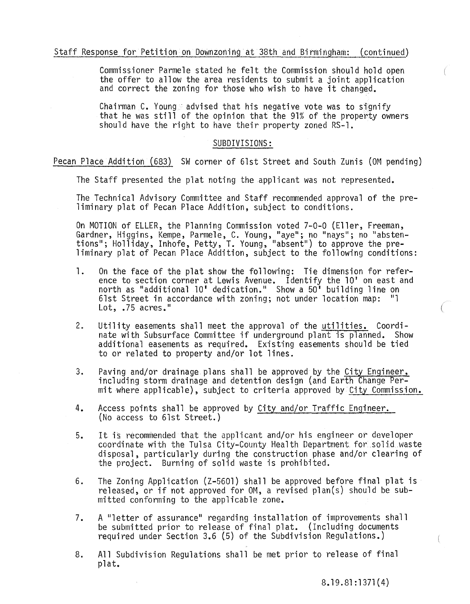# Staff Response for Petition on Downzoning at 38th and Birmingham: (continued)

Commissioner Parmele stated he felt the Commission should hold open the offer to allow the area residents to submit a joint application and correct the zoning for those who wish to have it changed.

Chairman C. Young· advised that his negative *vote* was to signify that he was still of the opinion that the 91% of the property owners should have the right to have their property zoned RS-l.

## SUBDIVISIONS:

Pecan Place Addition (683) SW corner of 61st Street and South Zunis (OM pending)

The Staff presented the plat noting the applicant was not represented.

The Technical Advisory Committee and Staff recommended approval of the preliminary plat of Pecan Place Addition, subject to conditions.

On MOTION of ELLER, the Planning Commission *voted* 7-0-0 (Eller, Freeman, Gardner, Higgins, Kempe, Parmele, C. Young, "aye"; no "nays"; no "abstentions"; Holliday, Inhofe, Petty, T. Young, "absent") to approve the preliminary plat of Pecan Place Addition, subject to the following conditions:

- 1. On the face of the plat show the following: Tie dimension for reference to section corner at Lewis Avenue. Identify the 10' on east and north as "additional 10' dedication." Show a 50' building line on 61st Street in accordance with zoning; not under location map:  $"1$ Lot, .75 acres."
- 2. Utility easements shall meet the approval of the utilities. Coordinate with Subsurface Committee if underground plant is planned. Show additional easements as required. Existing easements should be tied to or related to property and/or lot lines.
- 3. Paving and/or drainage plans shall be approved by the City Engineer, including storm drainage and detention design (and Earth Change Permit where applicable), subject to criteria approved by City Commission.
- 4. Access points shall be approved by City and/or Traffic Engineer. (No access to 6lst Street.)
- 5. It is recommended that the applicant and/or his engineer or developer coordinate with the Tulsa City-County Health Department for solid waste disposal, particularly during the construction phase and/or clearing of the project. Burning of solid waste is prohibited.
- 6. The Zoning Application (Z-5601) shall be approved before final plat is released, or if not approved for OM, a revised plan(s) should be submitted conforming to the applicable zone.
- 7. A "letter of assurance" regarding installation of improvements shall be submitted prior to release of final plat. (Including documents required under Section 3.6 (5) of the Subdivision Regulations.)
- 8. All Subdivision Regulations shall be met prior to release of final plat.

8.19.81 :1371 (4)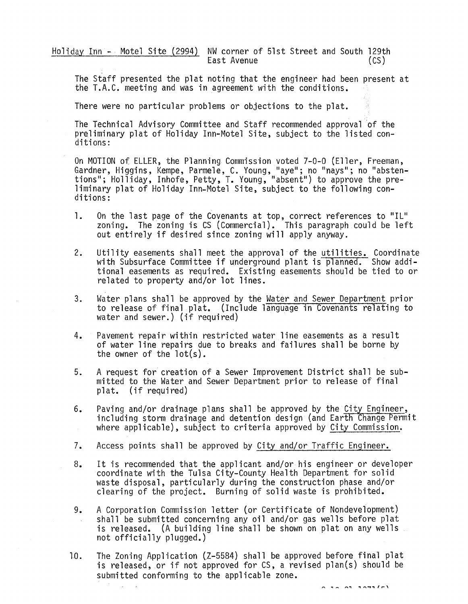Holiday Inn - Motel Site (2994) NW corner of 51st Street and South 129th<br>East Avenue East Avenue

The Staff presented the plat noting that the engineer had been present at the T.A.C. meeting and was in agreement with the conditions.

There were no particular problems or objections to the plat.

The Technical Advisory Committee and Staff recommended approval 'of the preliminary plat of Holiday Inn-Motel Site, subject to the listed conditions:

On MOTION of EllER, the Planning Commission voted 7-0-0 (Eller, Freeman, Gardner, Higgins, Kempe, Parmele, C. Young, "aye"; no "nays "; no "abstentions"; Holliday, Inhofe, Petty, T. Young, "absent") to approve the preliminary plat of Holiday Inn-Motel Site, subject to the following conditions:

- 1. On the last page of the Covenants at top, correct references to "Il" zoning. The zoning is CS (Commercial). This paragraph could be left out entirely if desired since zoning will apply anyway.
- 2. Utility easements shall meet the approval of the utilities. Coordinate ourling casements shart meet the approval of the activities. Soon announced tional easements as required. Existing easements should be tied to or related to property and/or lot lines.
- 3. Water plans shall be approved by the Water and Sewer Department prior to release of final plat. (Include language in Covenants relating to water and sewer.) (if required)
- 4. Pavement repair within restricted water line easements as a result of water line repairs due to breaks and failures shall be borne by the owner of the  $lot(s)$ .
- 5. A request for creation of a Sewer Improvement District shall be submitted to the Water and Sewer Department prior to release of final plat. (if required)
- 6. Paving and/or drainage plans shall be approved by the City Engineer,<br>including storm drainage and detention design (and Earth Change Permit where applicable), subject to criteria approved by City Commission.
- 7. Access points shall be approved by City and/or Traffic Engineer.
- 8. It is recommended that the applicant and/or his engineer or developer coordinate with the Tulsa City-County Health Department for solid waste disposal, particularly during the construction phase and/or clearing of the project. Burning of solid waste is prohibited.
- 9. A Corporation Commission letter (or Certificate of Nondeveiopment) shall be submitted concerning any oil and/or gas wells before plat is released. (A building line shall be shown on plat on any wells not officially plugged.)
- 10. The Zoning Application (Z-5584) shall be approved before final plat is released, or if not approved for  $CS$ , a revised plan $(s)$  should be submitted conforming to the applicable zone.

 $0.78.03.30715$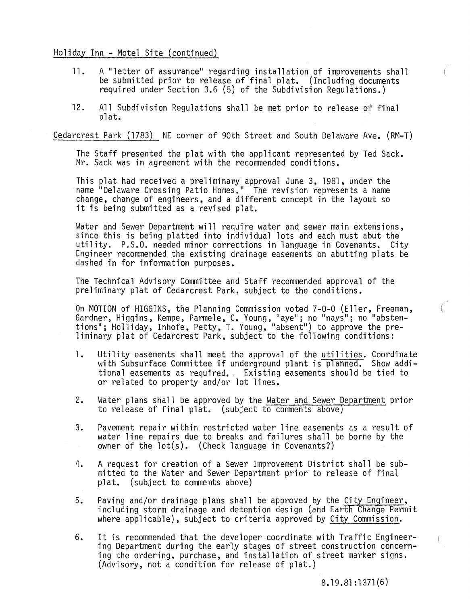# Holiday Inn - Motel Site (continued)

- **11.** A "letter of assurance" regarding installation of improvements shall be submitted prior to release of final plat. (Including documents required under Section 3.6 (5) of the Subdivision Regulations.)
- 12. All Subdivision Regulations shall be met prior to release of final pl at.

Cedarcrest Park (1783) NE corner of 90th Street and South Delaware Ave. (RM-T)

The Staff presented the plat with the applicant represented by Ted Sack. Mr. Sack was in agreement with the recommended conditions.

This plat had received a preliminary approval June 3, 1981, under the name "Delaware Crossing Patio Homes." The revision represents a name change, change of engineers, and a different concept in the layout so it is being submitted as a revised plat.

Water and Sewer Department will require water and sewer main extensions, since this is being platted into individual lots and each must abut the utility. P.S.O. needed minor corrections in language in Covenants. City Engineer recommended the existing drainage easements on abutting plats be dashed in for information purposes.

The Technical Advisory Committee and Staff recommended approval of the preliminary plat of Cedarcrest Park, subject to the conditions.

On MOTION of HIGGINS, the Planning Commission voted 7-0-0 (Eller, Freeman, Gardner, Higgins, Kempe, Parmele, C. Young, "aye"; no "nays"; no "abstentions"; Holliday, Inhofe, Petty, T. Young, "absent") to approve the pre-<br>liminary plat of Cedarcrest Park, subject to the following conditions:

- **1.** Utility easements shall meet the approval of the utilities. Coordinate with Subsurface Committee if underground plant is planned. Show additional easements as required., Existing easements should be tied to or related to property and/or lot lines.
- 2. Water plans shall be approved by the Water and Sewer Department prior to release of final plat. (subject to comments above)
- 3. Pavement repair within restricted water line easements as a result of water line repairs due to breaks and failures shall be borne by the owner of the lot(s). (Check language in Covenants?)
- 4. A request for creation of a Sewer Improvement District shall be submitted to the Water and Sewer Department prior to release of fina1 plat. (subject to comments above)
- 5. Paving and/or drainage plans shall be approved by the City Engineer,<br>including storm drainage and detention design (and Earth Change Permit where applicable), subject to criteria approved by City Commission.
- 6. It is recommended that the developer coordinate with Traffic Engineer- ing Department during the early stages of street construction concerning the ordering, purchase, and installation of street marker signs. (Advisory, not a condition for release of plat.)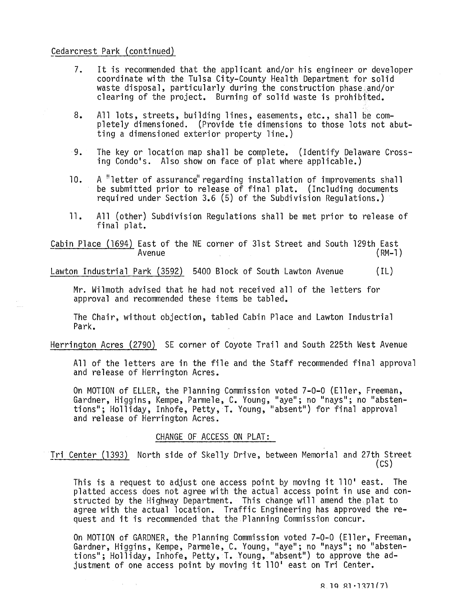# Cedarcrest Park (continued)

- 7. It is recommended that the applicant and/or his engineer or developer coordinate with the Tulsa City-County Health Department for solid waste disposal, particularly during the construction phase and/or clearing of the project. Burning of solid waste is prohibited.
- 8. All lots, streets, building lines, easements, etc., shall be completely dimensioned. (Provide tie dimensions to those lots not abutting a dimensioned exterior property line.)
- 9. The key or location map shall be complete. (Identify Delaware Crossing Condo's. Also show on face of plat where applicable.)
- 10. A "letter of assurance" regarding installation of improvements shall be submitted prior to release of final plat. (Including documents required under Section 3.6 (5) of the Subdivision Regulations.)
- 11. All (other) Subdivision Regulations shall be met prior to release of final plat.

Cabin Place (1694) East of the NE corner of 31st Street and South 129th East Avenue (RM-l)

Lawton Industrial Park (3592) 5400 Block of South Lawton Avenue (IL)

Mr. Wilmoth advised that he had not received all of the letters for approval and recommended these items be tabled.

The Chair, without objection, tabled Cabin Place and Lawton Industrial Park.

Herrington Acres (2790) SE corner of Coyote Trail and South 225th West Avenue

All of the letters are in the file and the Staff recommended final approval and release of Herrington Acres.

On MOTION of ELLER, the Planning Commission voted 7-0-0 (Eller, Freeman, Gardner, Higgins, Kempe, Parmele, C. Young, "aye"; no "nays"; no "abstentions"; Holliday, Inhofe, Petty, T. Young, "absent") for final approval<br>and release of Herrington Acres.

#### CHANGE OF ACCESS ON PLAT:

 $\Delta \sim 10^{-1}$  k

Tri Center (1393) North side of Skelly Drive, between Memorial and 27th Street (CS)

This is a request to adjust one access point by moving it 110' east. The platted access does not agree with the actual access point in use and constructed by the Highway Department. This change will amend the plat to agree with the actual location. Traffic Engineering has approved the request and it is recommended that the Planning Commission concur.

On MOTION of GARDNER, the Planning Commission voted 7-0-0 (Eller, Freeman, Gardner, Higgins, Kempe, Parmele, C. Young, "aye"; no "nays"; no "abstentions"; Holliday, Inhofe, Petty, T. Young, "absent") to approve the adjustment of one access point by moving it 110' east on Tri Center.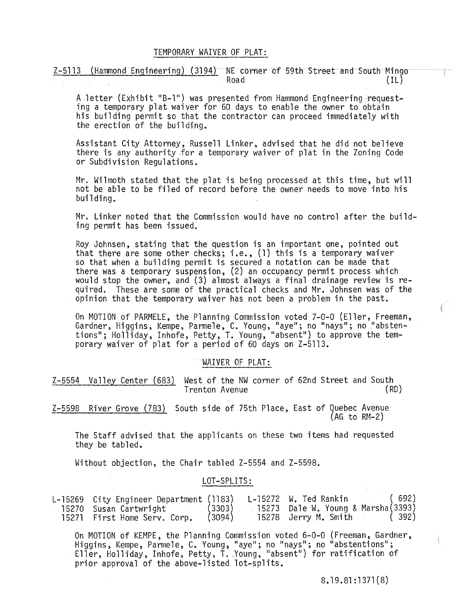## TEMPORARY WAIVER OF PLAT:

Z-5113 (Hammond Engineering) (3194) NE corner of 59th Street and South Mingo Road (IL)

A letter (Exhibit "B-1") was presented from Hammond Engineering request-<br>ing a temporary plat waiver for 60 days to enable the owner to obtain his building permit so that the contractor can proceed immediately with the erection of the building.

Assistant City Attorney, Russell Linker, advised that he did not believe there is any authority for a temporary waiver of plat in the Zoning Code or Subdivision Regulations.

Mr. Wilmoth stated that the plat is being processed at this time, but will not be able to be filed of record before the owner needs to move into his building.

Mr. Linker noted that the Commission would have no control after the building permit has been issued.

Roy Johnsen, stating that the question is an important one, pointed out that there are some other checks; i.e., (1) this is a temporary waiver so that when a building permit is secured a notation can be made that there was a temporary suspension, (2) an occupancy permit process which would stop the owner, and (3) almost always a final drainage review is required. These are some of the practical checks and Mr. Johnsen was of the opinion that the temporary waiver has not been a problem in the past.

On MOTION of PARMELE, the Planning Commission voted 7-0-0 (Eller, Freeman, Gardner, Higgins, Kempe, Parmele, C. Young, "aye"; no "nays"; no "abstentions"; Holliday, Inhofe, Petty, T. Young, "absent") to approve the temporary waiver of plat for a period of 60 days on Z-5113 •

## . WAIVER OF PLAT:

Z-5554 Valley Center (683) West of the NW corner of 62nd Street and South<br>Trenton Avenue Trenton Avenue

Z-5598 River Grove (783) South side of 75th Place, East of Quebec Avenue  $(AG to RM-2)$ 

The Staff advised that the applicants on these two items had requested they be tabled.

Without objection, the Chair tabled Z-5554 and Z-5598.

#### LOT-SPLITS:

| L-15269 City Engineer Department (1183) |        | L-15272 W. Ted Rankin              | (692) |
|-----------------------------------------|--------|------------------------------------|-------|
| 15270  Susan Cartwright                 | (3303) | 15273 Dale W. Young & Marsha(3393) |       |
| 15271 First Home Serv. Corp.            | (3094) | 15278 Jerry M. Smith               | (392) |

On MOTION of KEMPE, the Planning Commission voted 6-0-0 (Freeman, Gardner, Higgins, Kempe, Parmele, C. Young, "aye"; no "nays"; no "abstentions"; Eller, Holliday, Inhofe, Petty, T. Young, "absent") for ratification of prior approval of the above-listed lot-splits.

8.19.81 :1371 (8)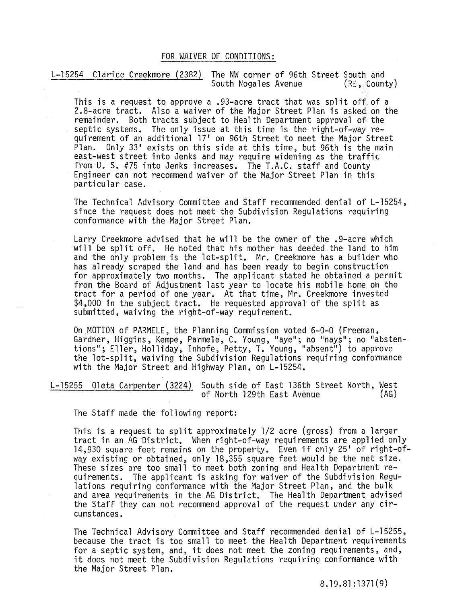# FOR WAIVER OF CONDITIONS:

L-15254 Clarice Creekmore (2382) The NW corner of 96th Street South and<br>South Nogales Avenue (RE, County) South Nogales Avenue

This is a request to approve a .93-acre tract that was split off. of a 2.8-acre tract. Also a waiver of the Major Street Plan is asked. on the remainder. Both tracts subject to Health Department approval of· the septic systems. The only issue at this time is the right-of-way requirement of an additional 17' on 96th Street to meet the Major Street Plan. Only 33' exists on this side at this time, but 96th is the main east-west street into Jenks and may require widening as the traffic from 'U. S. #75 into Jenks increases. The T.A.C. staff and County Engineer can not recommend waiver of the Major Street Plan in this particular case.

The Technical Advisory Committee and Staff recommended denial of L-15254, since the request does not meet the Subdivision Regulations requiring conformance with the Major Street Plan.

Larry Creekmore advised that he will be the owner of the .9-acre which will be split off. He noted that his mother has deeded the land to him and the only problem is the lot-split. Mr. Creekmore has a builder who has already scraped the land and has been ready to begin construction for approximately two months. The applicant stated he obtained a permit from the Board of Adjustment last year to locate his mobile home on the tract for a period of one year. At that time, Mr. Creekmore invested \$4,000 in the subject tract. He requested approval of the split as submitted, waiving the right-of-way requirement.

On MOTION of PARMELE, the Planning Commission voted 6-0-0 (Freeman, Gardner, Higgins, Kempe, Parmele, C. Young, "aye"; no "nays"; no "abstentions"; Eller, Holliday, Inhofe, Petty, T. Young, "absent") to approve the lot-split, waiving the Subdivision Regulations requiring conformance with the Major Street and Highway Plan, on L-15254.

L-1525501eta Carpenter (3224) South side of East 136th Street North, West of North 129th East Avenue

The Staff made the following report:

This is a request to split approximately 1/2 acre (gross) from a larger tract in an AG District. When right-of-way requirements are applied only 14·,930 square feet remains on the property. Even if only 25' of right-ofway existing or obtained, only 18,355 square feet would be the net size. These sizes are too small to meet both zoning and Health Department requirements. The applicant is asking for waiver of the Subdivision Regu- lations requiring conformance with the Major Street Plan, and the bulk and area requirements in the AG District. The Health Department advised the Staff they can not recommend approval of the request under any circumstances.

The Technical Advisory Committee and Staff recommended denial of L-15255, because the tract is too small to meet the Health Department requirements for a septic system, and, it does not meet the zoning requirements, and, it does not meet the Subdivision Regulations requiring conformance with the Major Street Plan.

8.19.81 :1371 (9)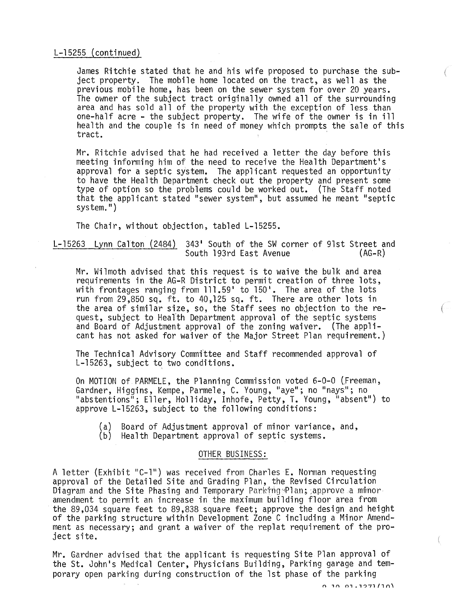# L-15255 (continued)

James Ritchie stated that he and his wife proposed to purchase the subject property. The mobile home located on the tract, as well as the previous mobile home, has been on the sewer system for over 20 years. The owner of the subject tract originally owned all of the surrounding area and has sold all of the property with the exception of less than one-half acre - the subject property. The wife of the owner is in ill health and the couple is in need of money which prompts the sale of this tract.

Mr. Ritchie advised that he had received a letter the day before this meeting informing him of the need to receive the Health Department's approval for a septic system. The applicant requested an opportunity to have the Health Department check out the property and present some type of option so the problems could be worked out. (The Staff noted that the applicant stated "sewer system", but assumed he meant "septic system.")

The Chair, without objection, tabled L-15255.

L-15263 Lynn Calton (2484) 343' South of the SW corner of 91st Street and South 193rd East Avenue (AG-R)

Mr. Wilmoth advised that this request is to waive the bulk and area requirements in the AG-R District to permit creation of three lots, with frontages ranging from 111.59' to 150'. The area of the lots run from 29,850 sq. ft. to 40,125 sq. ft. There are other lots in the area of similar size, so, the Staff sees no objection to the re-<br>quest, subject to Health Department approval of the septic systems quest, subject to Hearth Department approval of the septic systems and Board of Adjustment approval of the zoning waiver. (The applicant has not asked for waiver of the Major Street Plan requirement.)

The Technical Advisory Commfttee and Staff recommended approval of L-15263, subject to two conditions.

On MOTION of PARMELE, the Planning Commission voted 6-0-0 (Freeman, Gardner, Higgins, Kempe, Parmele, C. Young, "aye"; no "nays"; no "abstentions"; Eller, Holliday, Inhofe, Petty, T. Young, "absent") to approve L-15263, subject to the following conditions:

(al Board of Adjustment approval of minor variance, and,

(b) Health Department approval of septic systems.

# OTHER BUSINESS:

A letter (Exhibit "C-1") was received from Charles E. Norman requesting approval of the Detailed Site and Grading Plan, the Revised Circulation Diagram and the Site Phasing and Temporary ParkingsPlan; approve a minoramendment to permit an increase in the maximum building floor area from the 89,034 square feet to 89,838 square feet; approve the design and height<br>of the parking structure within Development Zone C including a Minor Amendment as necessary; and grant a waiver of the replat requirement of the project site.

Mr. Gardner advised that the applicant is requesting Site Plan approval of the St. John's Medical Center, Physicians Building, Parking garage and temporary open parking during construction of the 1st phase of the parking

(

€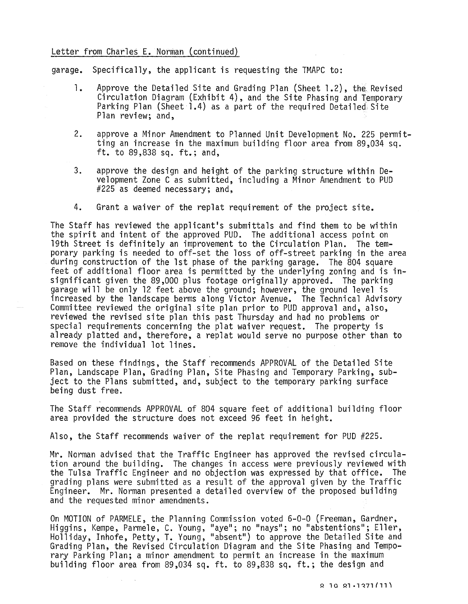# Letter from Charles E. Norman (continued)

garage. Specifically, the applicant is requesting the TMAPC to:

- 1. Approve the Detailed Site and Grading Plan (Sheet 1.2), the Revised Circulation Diagram (Exhibit 4), and the Site Phasing and Temporary Parking Plan (Sheet 1.4) as a part of the required Detailed Site Plan review; and,
- 2. approve a Minor Amendment to Planned Unit Development No. 225 permitting an increase in the maximum building floor area from 89,034 sq.<br>ft. to 89,838 sq. ft.; and,
- 3. approve the design and height of the parking structure within Development Zone C as submitted, including a Minor Amendment to PUD #225 as deemed necessary; and,
- 4. Grant a waiver of the replat requirement of the project site.

The Staff has reviewed the applicant's submittals and find them to be within the spirit and intent of the approved PUD. The additional access point on 19th Street is definitely an improvement to the Circulation Plan. The temporary parking is needed to off-set the loss of off-street parking in the area during construction of the 1st phase of the parking garage. The 804 square feet of additional floor area is permitted by the underlying zoning and is insignificant given the 89,000 plus footage originally approved. The parking garage will be only 12 feet above the ground; however, the ground level is increased by the landscape berms along Victor Avenue. The Technical Advisory Committee reviewed the original site plan prior to PUD approval and, also, reviewed the revised site plan this past Thursday and had no problems or special requirements concerning the plat waiver request. The property is already platted and, therefore, a replat would serve no purpose other than to remove the individual lot lines.

Based on these findings, the Staff recommends APPROVAL of the Detailed Site Plan, Landscape Plan, Grading Plan, Site Phasing and Temporary Parking, subject to the Plans submitted, and, subject to the temporary parking surface being dust free.

The Staff recommends APPROVAL of 804 square feet of additional building floor area provided the structure does not exceed 96 feet in height.

Also, the Staff recommends waiver of the replat requirement for PUD #225.

Mr. Norman advised that the Traffic Engineer has approved the revised circulation around the building. The changes in access were previously reviewed with the Tulsa Traffic Engineer and no objection was expressed by that office. The grading plans were submitted as a result of the approval given by the Traffic Engineer. Mr. Norman presented a detailed overview of the proposed building and the requested minor amendments.

On MOTION of PARMELE, the Planning Commission voted 6-0-0 (Freeman, Gardner, Higgins, Kempe, Parmele, C. Young, "aye"; no "nays"; no "abstentions"; Eller, Holliday, Inhofe, Petty, T. Young, "absent") to approve the Detailed Site and Grading Plan, the Revised Circulation Diagram and the Site Phasing and Temporary Parking Plan; a minor amendment to permit an increase in the maximum building floor area from 89,034 sq. ft. to 89,838 sq. ft.; the design and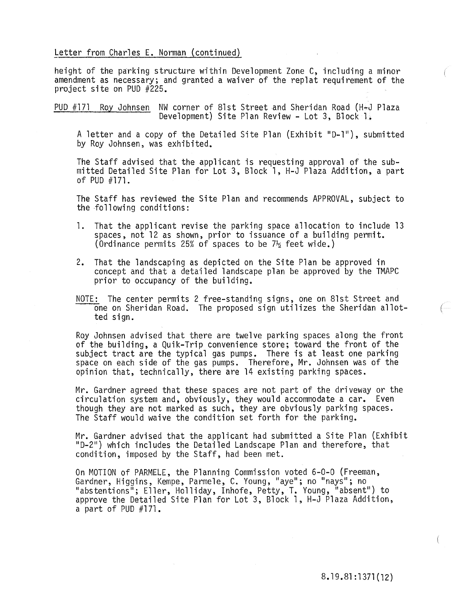## Letter from Charles E. Norman (continued)

height of the parking structure within Development Zone C, including a minor amendment as necessary; and granted a waiver of the replat requirement of the project site on PUD #225.

PUD #171 Roy Johnsen NW corner of 81st Street and Sheridan Road (H~J Plaza Development) Site Plan Review - Lot 3, Block 1.

A letter and a copy of the Detailed Site Plan (Exhibit "0-1"), submitted by Roy Johnsen, was exhibited.

The Staff advised that the applicant is requesting approval of the submitted Detailed Site Plan for Lot 3, Block 1, H-J Plaza Addition, a part of PUD #171.

The Staff has reviewed the Site Plan and recommends APPROVAL, subject to the following conditions:

- 1. That the applicant revise the parking space allocation to include 13 spaces, not 12 as shown, prior to issuance of a building permit. (Ordinance permits 25% of spaces to be  $7\frac{1}{2}$  feet wide.)
- 2. That the landscaping as depicted on the Site Plan be approved in concept and that a detailed landscape plan be approved by the TMAPC prior to occupancy of the building.
- NOTE: The center permits 2 free-standing signs, one on 81st Street and one on Sheridan Road. The proposed sign utilizes the Sheridan allot- ( ted sign.

Roy Johnsen advised that there are twelve parking spaces along the front of the building, a Quik-Trip convenience store; toward the front of the subject tract are the typical gas pumps. There is at least one parking space on each side of the gas pumps. Therefore, Mr. Johnsen was of the opinion that, technically, there are 14 existing parking spaces.

Mr. Gardner agreed that these spaces are not part of the driveway or the circulation system and, obviously, they would accommodate a car. Even though they are not marked as such, they are obviously parking spaces. The Staff would waive the condition set forth for the parking.

Mr. Gardner advised that the applicant had submitted a Site Plan (Exhibit "0-2") which includes the Detailed Landscape Plan and therefore, that condition, imposed by the Staff, had been met.

On MOTION of PARMELE, the Planning Commission voted 6-0-0 (Freeman, Gardner, Higgins, Kempe, Parmele, C. Young, "aye"; no "nays"; no "abstentions"; Eller, Holliday, Inhofe, Petty, T. Young, "absent") to approve the Detailed Site Plan for Lot 3, Block 1, H-J Plaza Addition, a part of PUD  $#171$ .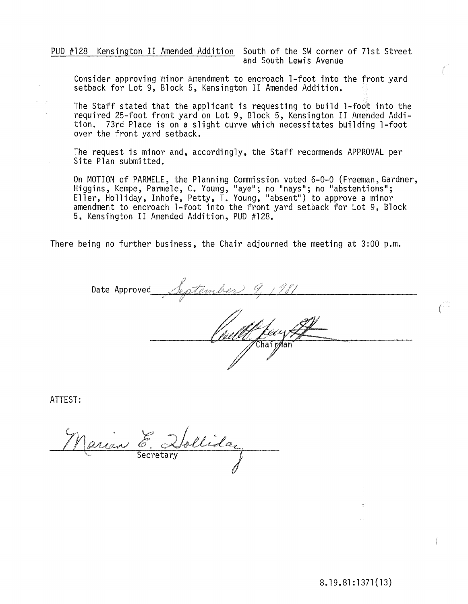PUD #128 Kensington II Amended Addition South of the SW corner of 7lst Street and South Lewis Avenue

Consider approving minor amendment to encroach l-foot into the front yard setback for Lot 9, Block 5, Kensington II Amended Addition.

The Staff stated that the applicant is requesting to build l-foot into the required 25-foot front yard on Lot 9, Block 5, Kensington II Amended Addition. 73rd Place is on a slight curve which necessitates building l-foot over the front yard setback.

The request is minor and, accordingly, the Staff recommends APPROVAL per Site Plan submitted.

On MOTION of PARMELE, the Planning Commission voted 6-0-0 (Freeman, Gardner, Higgins, Kempe, Parmele, C. Young, "aye"; no "nays"; no "abstentions"; Eller, Holliday, Inhofe, Petty, T. Young, "absent") to approve a minor amendment to encroach l-foot into the front yard setback for Lot 9, Block 5, Kensington II Amended Addition, PUD #128.

There being no further business, the Chair adjourned the meeting at 3:00 p.m.

Date Approved

ATTEST:

Narian follida